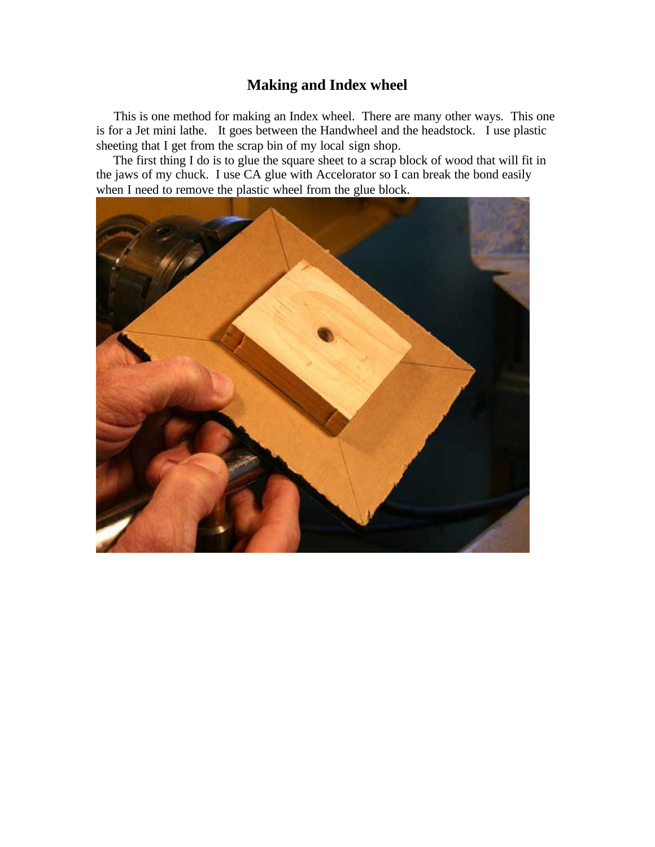## **Making and Index wheel**

 This is one method for making an Index wheel. There are many other ways. This one is for a Jet mini lathe. It goes between the Handwheel and the headstock. I use plastic sheeting that I get from the scrap bin of my local sign shop.

 The first thing I do is to glue the square sheet to a scrap block of wood that will fit in the jaws of my chuck. I use CA glue with Accelorator so I can break the bond easily when I need to remove the plastic wheel from the glue block.

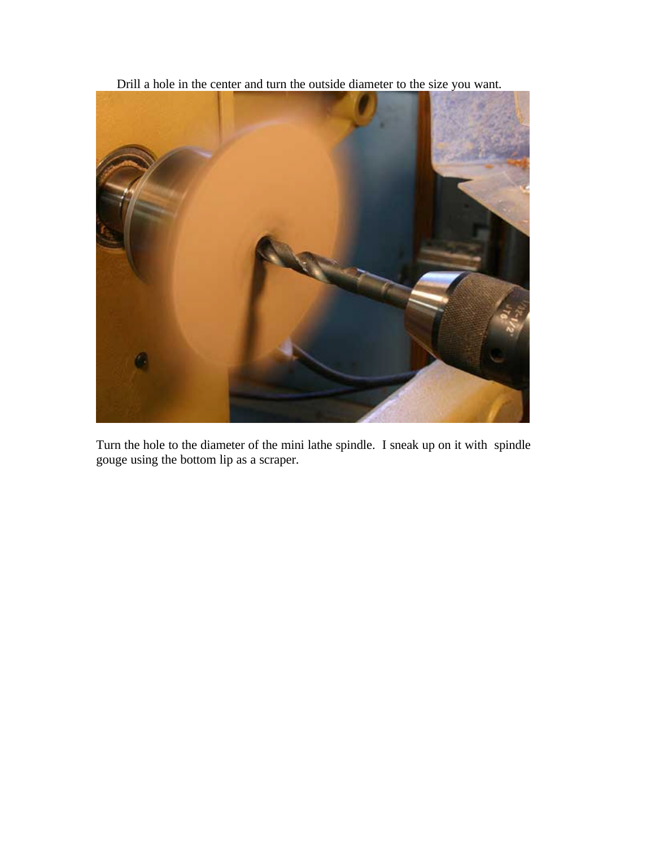Drill a hole in the center and turn the outside diameter to the size you want.



Turn the hole to the diameter of the mini lathe spindle. I sneak up on it with spindle gouge using the bottom lip as a scraper.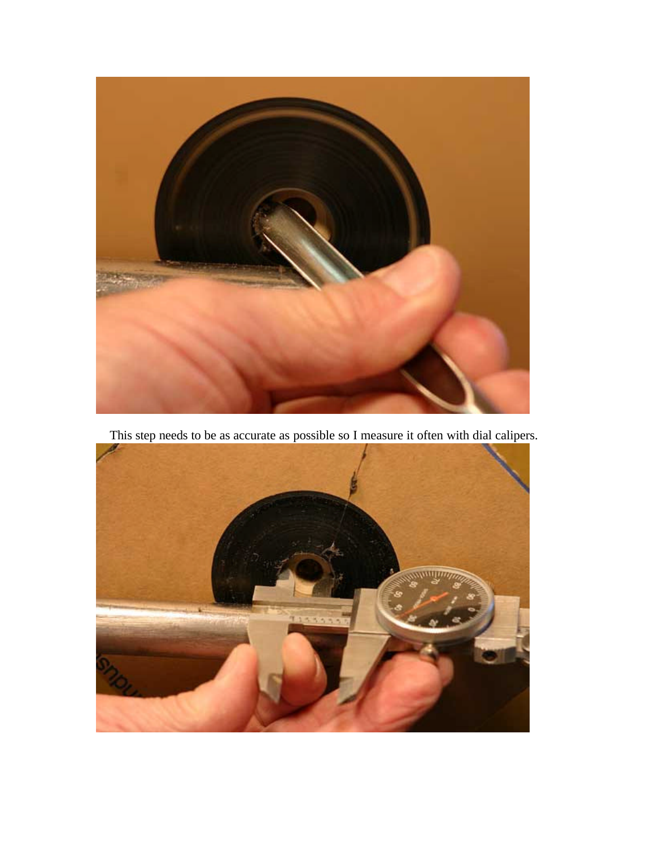

This step needs to be as accurate as possible so I measure it often with dial calipers.

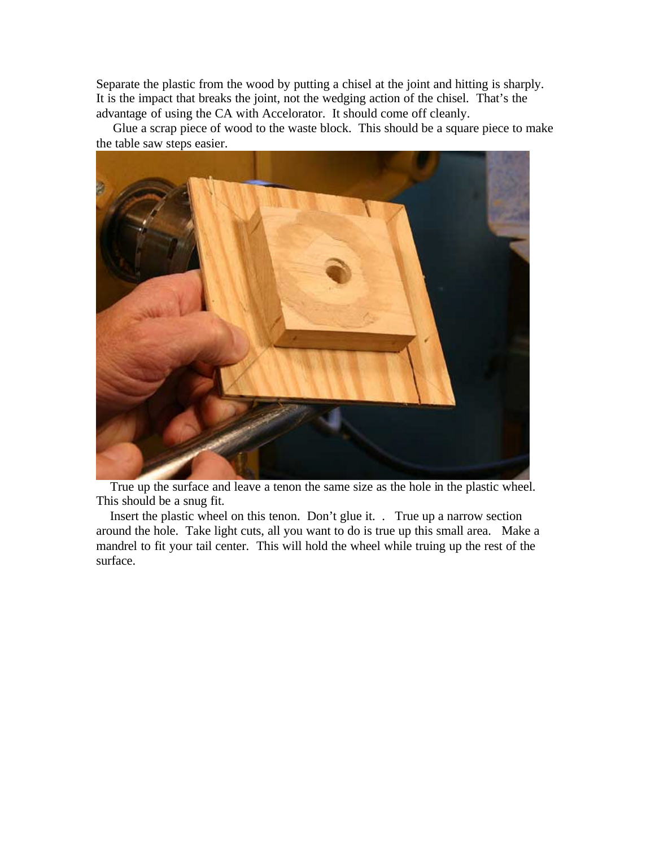Separate the plastic from the wood by putting a chisel at the joint and hitting is sharply. It is the impact that breaks the joint, not the wedging action of the chisel. That's the advantage of using the CA with Accelorator. It should come off cleanly.

 Glue a scrap piece of wood to the waste block. This should be a square piece to make the table saw steps easier.



 True up the surface and leave a tenon the same size as the hole in the plastic wheel. This should be a snug fit.

 Insert the plastic wheel on this tenon. Don't glue it. . True up a narrow section around the hole. Take light cuts, all you want to do is true up this small area. Make a mandrel to fit your tail center. This will hold the wheel while truing up the rest of the surface.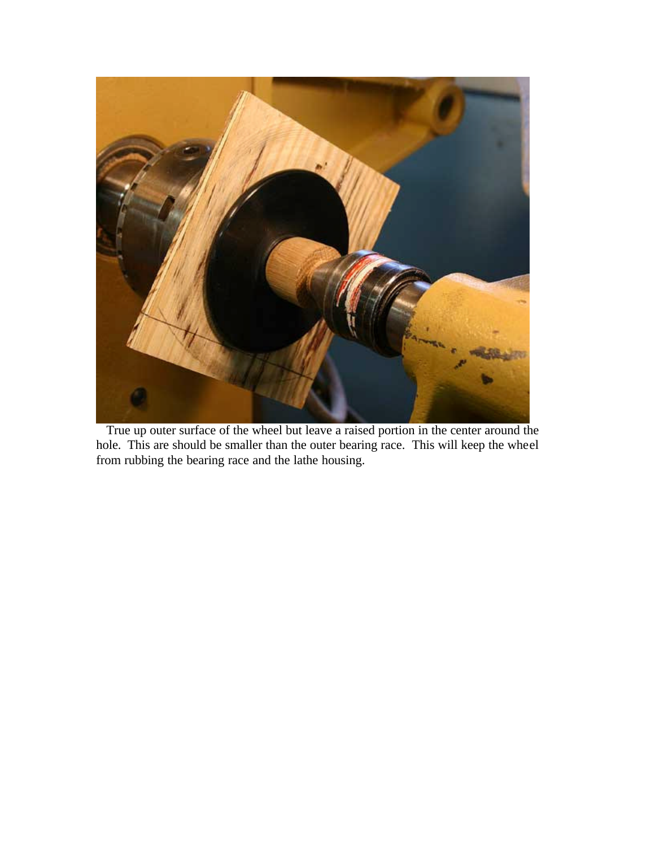

 True up outer surface of the wheel but leave a raised portion in the center around the hole. This are should be smaller than the outer bearing race. This will keep the wheel from rubbing the bearing race and the lathe housing.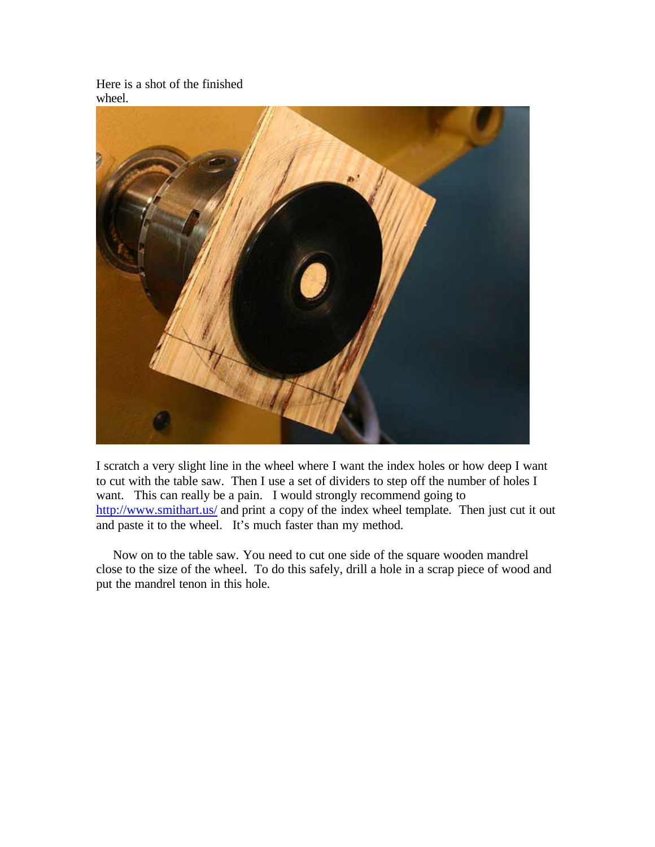Here is a shot of the finished wheel.



I scratch a very slight line in the wheel where I want the index holes or how deep I want to cut with the table saw. Then I use a set of dividers to step off the number of holes I want. This can really be a pain. I would strongly recommend going to http://www.smithart.us/ and print a copy of the index wheel template. Then just cut it out and paste it to the wheel. It's much faster than my method.

 Now on to the table saw. You need to cut one side of the square wooden mandrel close to the size of the wheel. To do this safely, drill a hole in a scrap piece of wood and put the mandrel tenon in this hole.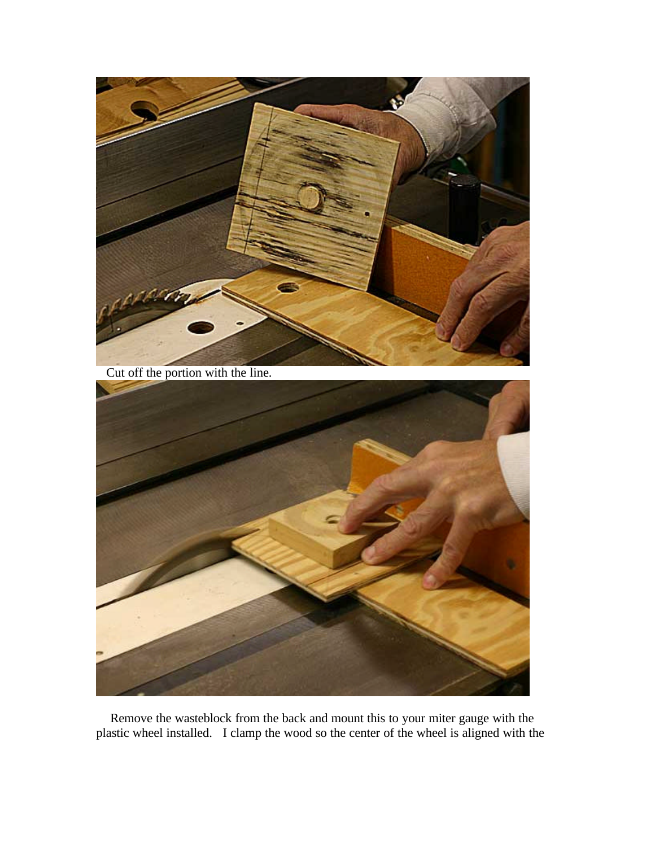

Cut off the portion with the line.



 Remove the wasteblock from the back and mount this to your miter gauge with the plastic wheel installed. I clamp the wood so the center of the wheel is aligned with the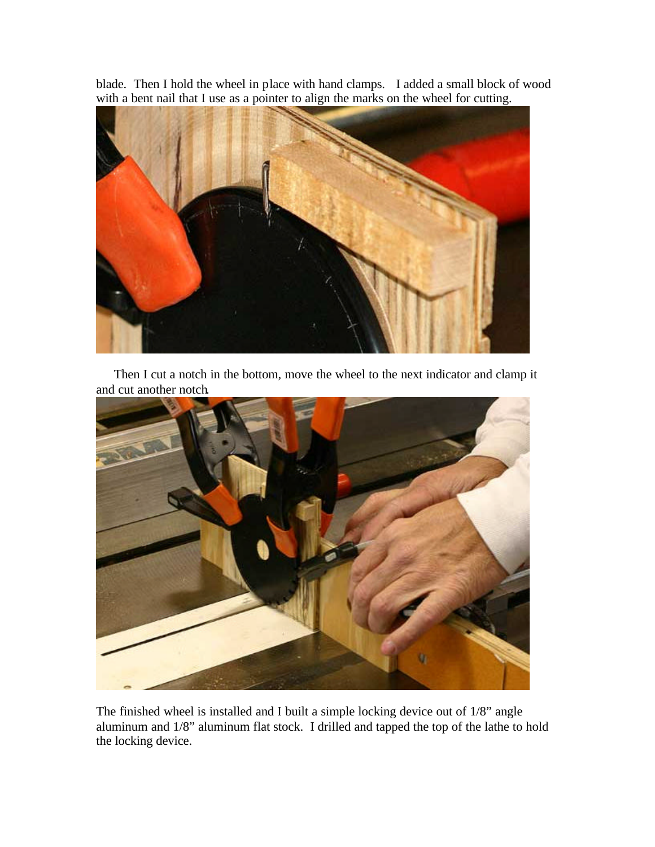blade. Then I hold the wheel in place with hand clamps. I added a small block of wood with a bent nail that I use as a pointer to align the marks on the wheel for cutting.



 Then I cut a notch in the bottom, move the wheel to the next indicator and clamp it and cut another notch.



The finished wheel is installed and I built a simple locking device out of 1/8" angle aluminum and 1/8" aluminum flat stock. I drilled and tapped the top of the lathe to hold the locking device.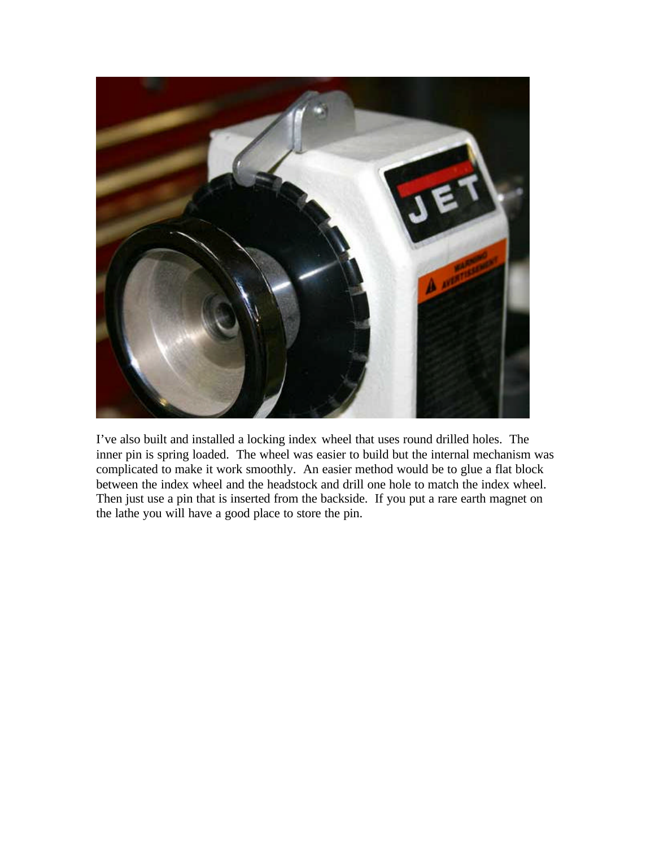

I've also built and installed a locking index wheel that uses round drilled holes. The inner pin is spring loaded. The wheel was easier to build but the internal mechanism was complicated to make it work smoothly. An easier method would be to glue a flat block between the index wheel and the headstock and drill one hole to match the index wheel. Then just use a pin that is inserted from the backside. If you put a rare earth magnet on the lathe you will have a good place to store the pin.